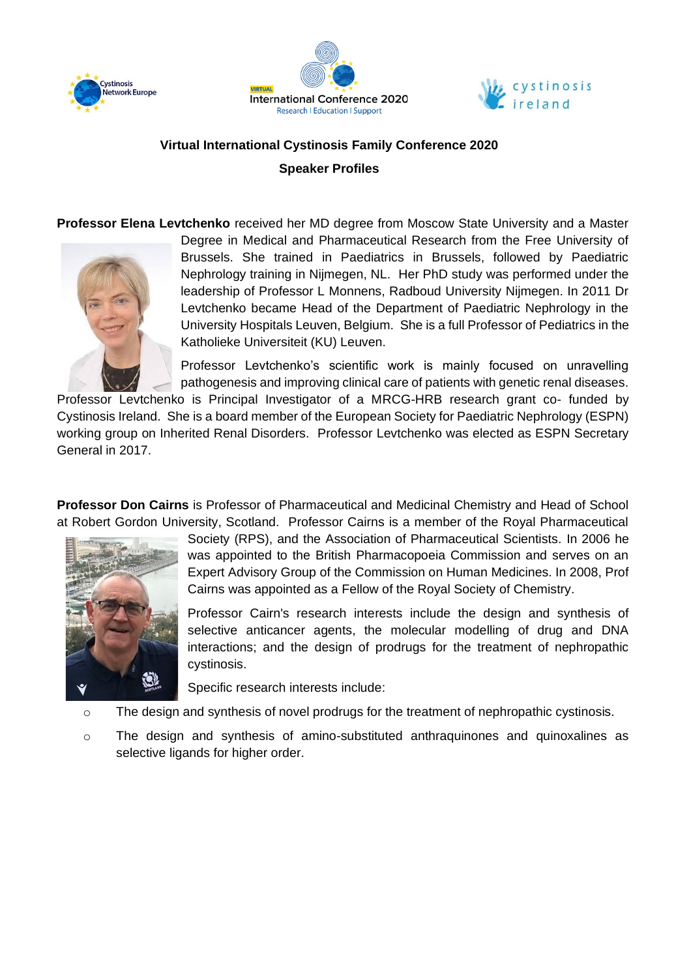





## **Virtual International Cystinosis Family Conference 2020 Speaker Profiles**

**Professor Elena Levtchenko** received her MD degree from Moscow State University and a Master



Degree in Medical and Pharmaceutical Research from the Free University of Brussels. She trained in Paediatrics in Brussels, followed by Paediatric Nephrology training in Nijmegen, NL. Her PhD study was performed under the leadership of Professor L Monnens, Radboud University Nijmegen. In 2011 Dr Levtchenko became Head of the Department of Paediatric Nephrology in the University Hospitals Leuven, Belgium. She is a full Professor of Pediatrics in the Katholieke Universiteit (KU) Leuven.

Professor Levtchenko's scientific work is mainly focused on unravelling pathogenesis and improving clinical care of patients with genetic renal diseases.

Professor Levtchenko is Principal Investigator of a MRCG-HRB research grant co- funded by Cystinosis Ireland. She is a board member of the European Society for Paediatric Nephrology (ESPN) working group on Inherited Renal Disorders. Professor Levtchenko was elected as ESPN Secretary General in 2017.

**Professor Don Cairns** is Professor of Pharmaceutical and Medicinal Chemistry and Head of School at Robert Gordon University, Scotland. Professor Cairns is a member of the Royal Pharmaceutical



Society (RPS), and the Association of Pharmaceutical Scientists. In 2006 he was appointed to the British Pharmacopoeia Commission and serves on an Expert Advisory Group of the Commission on Human Medicines. In 2008, Prof Cairns was appointed as a Fellow of the Royal Society of Chemistry.

Professor Cairn's research interests include the design and synthesis of selective anticancer agents, the molecular modelling of drug and DNA interactions; and the design of prodrugs for the treatment of nephropathic cystinosis.

Specific research interests include:

- o The design and synthesis of novel prodrugs for the treatment of nephropathic cystinosis.
- o The design and synthesis of amino-substituted anthraquinones and quinoxalines as selective ligands for higher order.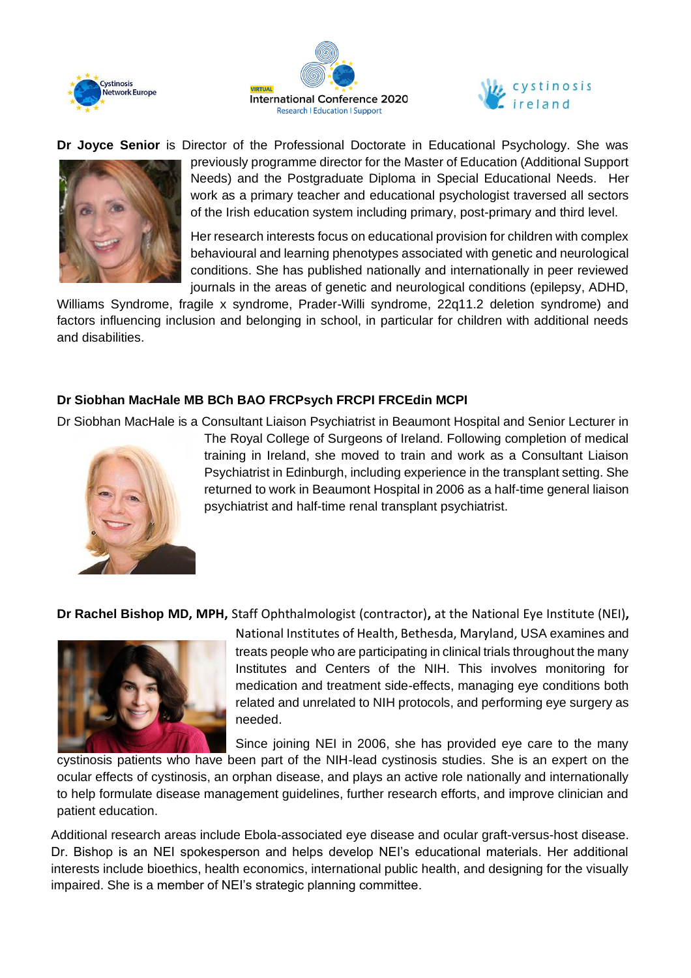





**Dr Joyce Senior** is Director of the Professional Doctorate in Educational Psychology. She was



previously programme director for the Master of Education (Additional Support Needs) and the Postgraduate Diploma in Special Educational Needs. Her work as a primary teacher and educational psychologist traversed all sectors of the Irish education system including primary, post-primary and third level.

Her research interests focus on educational provision for children with complex behavioural and learning phenotypes associated with genetic and neurological conditions. She has published nationally and internationally in peer reviewed journals in the areas of genetic and neurological conditions (epilepsy, ADHD,

Williams Syndrome, fragile x syndrome, Prader-Willi syndrome, 22q11.2 deletion syndrome) and factors influencing inclusion and belonging in school, in particular for children with additional needs and disabilities.

## **Dr Siobhan MacHale MB BCh BAO FRCPsych FRCPI FRCEdin MCPI**

Dr Siobhan MacHale is a Consultant Liaison Psychiatrist in Beaumont Hospital and Senior Lecturer in



The Royal College of Surgeons of Ireland. Following completion of medical training in Ireland, she moved to train and work as a Consultant Liaison Psychiatrist in Edinburgh, including experience in the transplant setting. She returned to work in Beaumont Hospital in 2006 as a half-time general liaison psychiatrist and half-time renal transplant psychiatrist.

**Dr Rachel Bishop MD, MPH,** Staff Ophthalmologist (contractor)**,** at the National Eye Institute (NEI)**,** 



National Institutes of Health, Bethesda, Maryland, USA examines and treats people who are participating in clinical trials throughout the many Institutes and Centers of the NIH. This involves monitoring for medication and treatment side-effects, managing eye conditions both related and unrelated to NIH protocols, and performing eye surgery as needed.

Since joining NEI in 2006, she has provided eye care to the many

cystinosis patients who have been part of the NIH-lead cystinosis studies. She is an expert on the ocular effects of cystinosis, an orphan disease, and plays an active role nationally and internationally to help formulate disease management guidelines, further research efforts, and improve clinician and patient education.

Additional research areas include Ebola-associated eye disease and ocular graft-versus-host disease. Dr. Bishop is an NEI spokesperson and helps develop NEI's educational materials. Her additional interests include bioethics, health economics, international public health, and designing for the visually impaired. She is a member of NEI's strategic planning committee.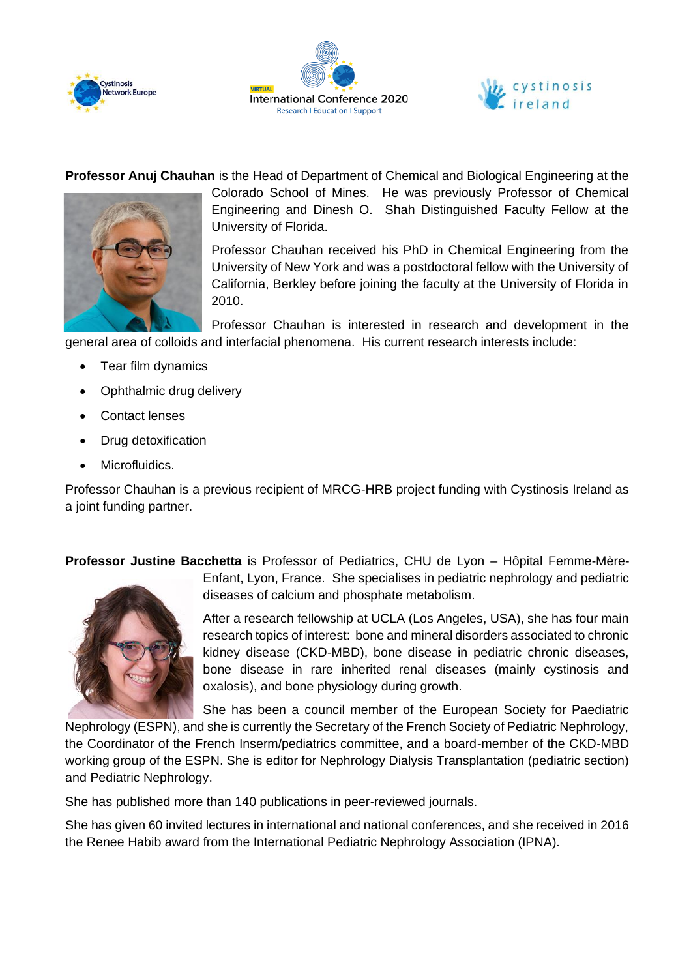





**Professor Anuj Chauhan** is the Head of Department of Chemical and Biological Engineering at the



Colorado School of Mines. He was previously Professor of Chemical Engineering and Dinesh O. Shah Distinguished Faculty Fellow at the University of Florida.

Professor Chauhan received his PhD in Chemical Engineering from the University of New York and was a postdoctoral fellow with the University of California, Berkley before joining the faculty at the University of Florida in 2010.

Professor Chauhan is interested in research and development in the general area of colloids and interfacial phenomena. His current research interests include:

- Tear film dynamics
- Ophthalmic drug delivery
- Contact lenses
- Drug detoxification
- Microfluidics.

Professor Chauhan is a previous recipient of MRCG-HRB project funding with Cystinosis Ireland as a joint funding partner.

**Professor Justine Bacchetta** is Professor of Pediatrics, CHU de Lyon – Hôpital Femme-Mère-



Enfant, Lyon, France. She specialises in pediatric nephrology and pediatric diseases of calcium and phosphate metabolism.

After a research fellowship at UCLA (Los Angeles, USA), she has four main research topics of interest: bone and mineral disorders associated to chronic kidney disease (CKD-MBD), bone disease in pediatric chronic diseases, bone disease in rare inherited renal diseases (mainly cystinosis and oxalosis), and bone physiology during growth.

She has been a council member of the European Society for Paediatric

Nephrology (ESPN), and she is currently the Secretary of the French Society of Pediatric Nephrology, the Coordinator of the French Inserm/pediatrics committee, and a board-member of the CKD-MBD working group of the ESPN. She is editor for Nephrology Dialysis Transplantation (pediatric section) and Pediatric Nephrology.

She has published more than 140 publications in peer-reviewed journals.

She has given 60 invited lectures in international and national conferences, and she received in 2016 the Renee Habib award from the International Pediatric Nephrology Association (IPNA).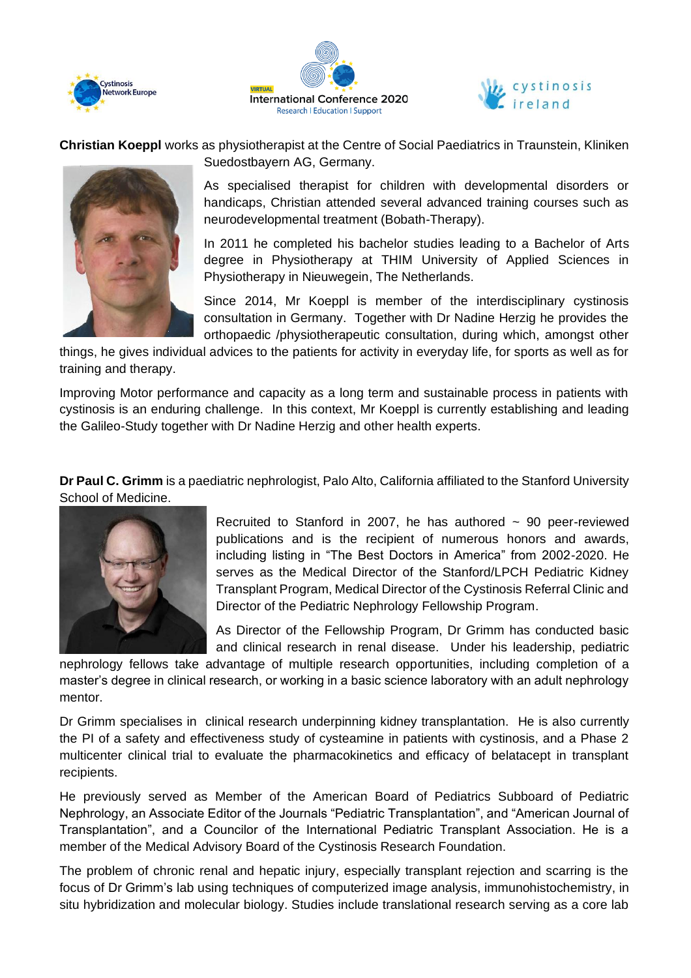





**Christian Koeppl** works as physiotherapist at the Centre of Social Paediatrics in Traunstein, Kliniken Suedostbayern AG, Germany.



As specialised therapist for children with developmental disorders or handicaps, Christian attended several advanced training courses such as neurodevelopmental treatment (Bobath-Therapy).

In 2011 he completed his bachelor studies leading to a Bachelor of Arts degree in Physiotherapy at THIM University of Applied Sciences in Physiotherapy in Nieuwegein, The Netherlands.

Since 2014, Mr Koeppl is member of the interdisciplinary cystinosis consultation in Germany. Together with Dr Nadine Herzig he provides the orthopaedic /physiotherapeutic consultation, during which, amongst other

things, he gives individual advices to the patients for activity in everyday life, for sports as well as for training and therapy.

Improving Motor performance and capacity as a long term and sustainable process in patients with cystinosis is an enduring challenge. In this context, Mr Koeppl is currently establishing and leading the Galileo-Study together with Dr Nadine Herzig and other health experts.

**Dr Paul C. Grimm** is a paediatric nephrologist, Palo Alto, California affiliated to the Stanford University School of Medicine.



Recruited to Stanford in 2007, he has authored  $\sim$  90 peer-reviewed publications and is the recipient of numerous honors and awards, including listing in "The Best Doctors in America" from 2002-2020. He serves as the Medical Director of the Stanford/LPCH Pediatric Kidney Transplant Program, Medical Director of the Cystinosis Referral Clinic and Director of the Pediatric Nephrology Fellowship Program.

As Director of the Fellowship Program, Dr Grimm has conducted basic and clinical research in renal disease. Under his leadership, pediatric

nephrology fellows take advantage of multiple research opportunities, including completion of a master's degree in clinical research, or working in a basic science laboratory with an adult nephrology mentor.

Dr Grimm specialises in clinical research underpinning kidney transplantation. He is also currently the PI of a safety and effectiveness study of cysteamine in patients with cystinosis, and a Phase 2 multicenter clinical trial to evaluate the pharmacokinetics and efficacy of belatacept in transplant recipients.

He previously served as Member of the American Board of Pediatrics Subboard of Pediatric Nephrology, an Associate Editor of the Journals "Pediatric Transplantation", and "American Journal of Transplantation", and a Councilor of the International Pediatric Transplant Association. He is a member of the Medical Advisory Board of the Cystinosis Research Foundation.

The problem of chronic renal and hepatic injury, especially transplant rejection and scarring is the focus of Dr Grimm's lab using techniques of computerized image analysis, immunohistochemistry, in situ hybridization and molecular biology. Studies include translational research serving as a core lab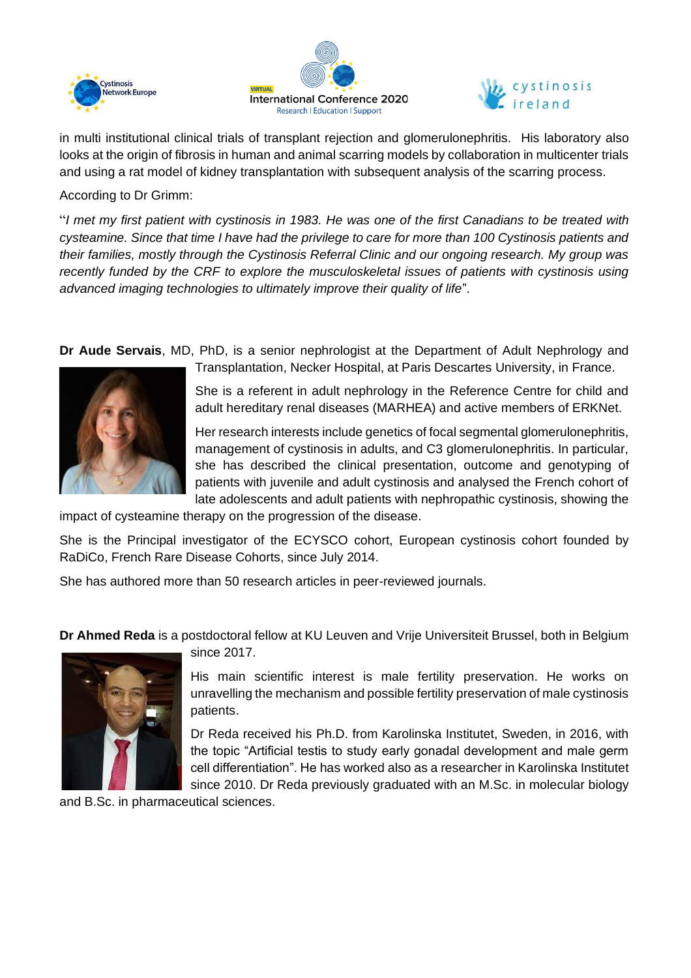





in multi institutional clinical trials of transplant rejection and glomerulonephritis. His laboratory also looks at the origin of fibrosis in human and animal scarring models by collaboration in multicenter trials and using a rat model of kidney transplantation with subsequent analysis of the scarring process.

## According to Dr Grimm:

"*I met my first patient with cystinosis in 1983. He was one of the first Canadians to be treated with cysteamine. Since that time I have had the privilege to care for more than 100 Cystinosis patients and their families, mostly through the Cystinosis Referral Clinic and our ongoing research. My group was recently funded by the CRF to explore the musculoskeletal issues of patients with cystinosis using advanced imaging technologies to ultimately improve their quality of life*".

**Dr Aude Servais**, MD, PhD, is a senior nephrologist at the Department of Adult Nephrology and



Transplantation, Necker Hospital, at Paris Descartes University, in France.

She is a referent in adult nephrology in the Reference Centre for child and adult hereditary renal diseases (MARHEA) and active members of ERKNet.

Her research interests include genetics of focal segmental glomerulonephritis, management of cystinosis in adults, and C3 glomerulonephritis. In particular, she has described the clinical presentation, outcome and genotyping of patients with juvenile and adult cystinosis and analysed the French cohort of late adolescents and adult patients with nephropathic cystinosis, showing the

impact of cysteamine therapy on the progression of the disease.

She is the Principal investigator of the ECYSCO cohort, European cystinosis cohort founded by RaDiCo, French Rare Disease Cohorts, since July 2014.

She has authored more than 50 research articles in peer-reviewed journals.

**Dr Ahmed Reda** is a postdoctoral fellow at KU Leuven and Vrije Universiteit Brussel, both in Belgium



since 2017. His main scientific interest is male fertility preservation. He works on unravelling the mechanism and possible fertility preservation of male cystinosis

Dr Reda received his Ph.D. from Karolinska Institutet, Sweden, in 2016, with the topic "Artificial testis to study early gonadal development and male germ cell differentiation". He has worked also as a researcher in Karolinska Institutet since 2010. Dr Reda previously graduated with an M.Sc. in molecular biology

and B.Sc. in pharmaceutical sciences.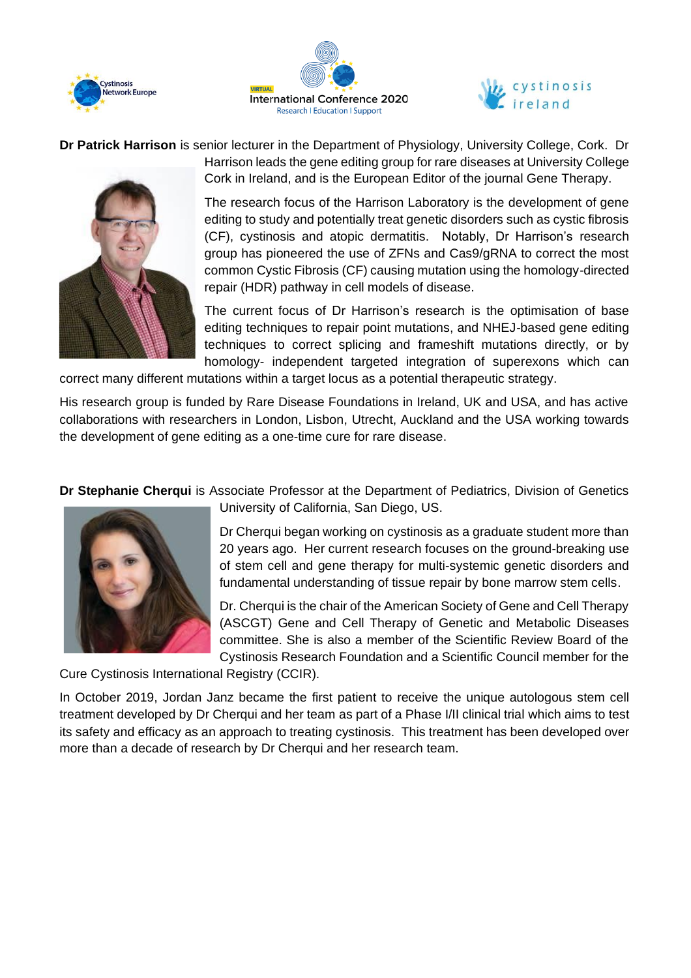





**Dr Patrick Harrison** is senior lecturer in the Department of Physiology, University College, Cork. Dr



Harrison leads the gene editing group for rare diseases at University College Cork in Ireland, and is the European Editor of the journal Gene Therapy.

The research focus of the Harrison Laboratory is the development of gene editing to study and potentially treat genetic disorders such as cystic fibrosis (CF), cystinosis and atopic dermatitis. Notably, Dr Harrison's research group has pioneered the use of ZFNs and Cas9/gRNA to correct the most common Cystic Fibrosis (CF) causing mutation using the homology-directed repair (HDR) pathway in cell models of disease.

The current focus of Dr Harrison's research is the optimisation of base editing techniques to repair point mutations, and NHEJ-based gene editing techniques to correct splicing and frameshift mutations directly, or by homology- independent targeted integration of superexons which can

correct many different mutations within a target locus as a potential therapeutic strategy.

His research group is funded by Rare Disease Foundations in Ireland, UK and USA, and has active collaborations with researchers in London, Lisbon, Utrecht, Auckland and the USA working towards the development of gene editing as a one-time cure for rare disease.

**Dr Stephanie Cherqui** is Associate Professor at the Department of Pediatrics, Division of Genetics



University of California, San Diego, US.

Dr Cherqui began working on cystinosis as a graduate student more than 20 years ago. Her current research focuses on the ground-breaking use of stem cell and gene therapy for multi-systemic genetic disorders and fundamental understanding of tissue repair by bone marrow stem cells.

Dr. Cherqui is the chair of the American Society of Gene and Cell Therapy (ASCGT) Gene and Cell Therapy of Genetic and Metabolic Diseases committee. She is also a member of the Scientific Review Board of the Cystinosis Research Foundation and a Scientific Council member for the

Cure Cystinosis International Registry (CCIR).

In October 2019, Jordan Janz became the first patient to receive the unique autologous stem cell treatment developed by Dr Cherqui and her team as part of a Phase I/II clinical trial which aims to test its safety and efficacy as an approach to treating cystinosis. This treatment has been developed over more than a decade of research by Dr Cherqui and her research team.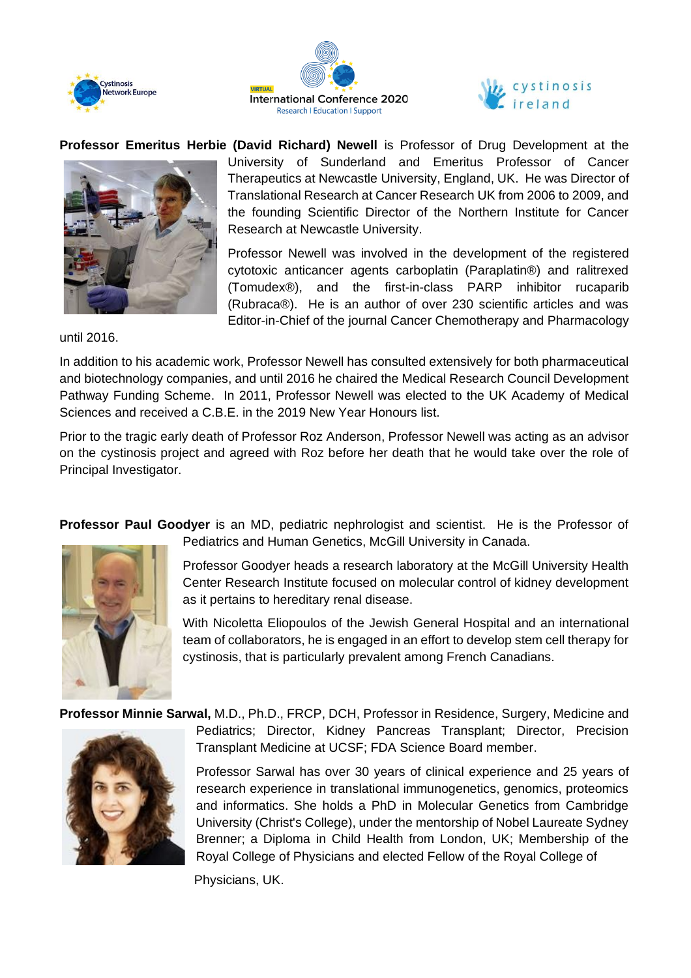





**Professor Emeritus Herbie (David Richard) Newell** is Professor of Drug Development at the



University of Sunderland and Emeritus Professor of Cancer Therapeutics at Newcastle University, England, UK. He was Director of Translational Research at Cancer Research UK from 2006 to 2009, and the founding Scientific Director of the Northern Institute for Cancer Research at Newcastle University.

Professor Newell was involved in the development of the registered cytotoxic anticancer agents carboplatin (Paraplatin®) and ralitrexed (Tomudex®), and the first-in-class PARP inhibitor rucaparib (Rubraca®). He is an author of over 230 scientific articles and was Editor-in-Chief of the journal Cancer Chemotherapy and Pharmacology

until 2016.

In addition to his academic work, Professor Newell has consulted extensively for both pharmaceutical and biotechnology companies, and until 2016 he chaired the Medical Research Council Development Pathway Funding Scheme. In 2011, Professor Newell was elected to the UK Academy of Medical Sciences and received a C.B.E. in the 2019 New Year Honours list.

Prior to the tragic early death of Professor Roz Anderson, Professor Newell was acting as an advisor on the cystinosis project and agreed with Roz before her death that he would take over the role of Principal Investigator.

**Professor Paul Goodyer** is an MD, pediatric nephrologist and scientist. He is the Professor of Pediatrics and Human Genetics, McGill University in Canada.



Professor Goodyer heads a research laboratory at the McGill University Health Center Research Institute focused on molecular control of kidney development as it pertains to hereditary renal disease.

With Nicoletta Eliopoulos of the Jewish General Hospital and an international team of collaborators, he is engaged in an effort to develop stem cell therapy for cystinosis, that is particularly prevalent among French Canadians.

**Professor Minnie Sarwal,** M.D., Ph.D., FRCP, DCH, Professor in Residence, Surgery, Medicine and



Pediatrics; Director, Kidney Pancreas Transplant; Director, Precision Transplant Medicine at UCSF; FDA Science Board member.

Professor Sarwal has over 30 years of clinical experience and 25 years of research experience in translational immunogenetics, genomics, proteomics and informatics. She holds a PhD in Molecular Genetics from Cambridge University (Christ's College), under the mentorship of Nobel Laureate Sydney Brenner; a Diploma in Child Health from London, UK; Membership of the Royal College of Physicians and elected Fellow of the Royal College of

Physicians, UK.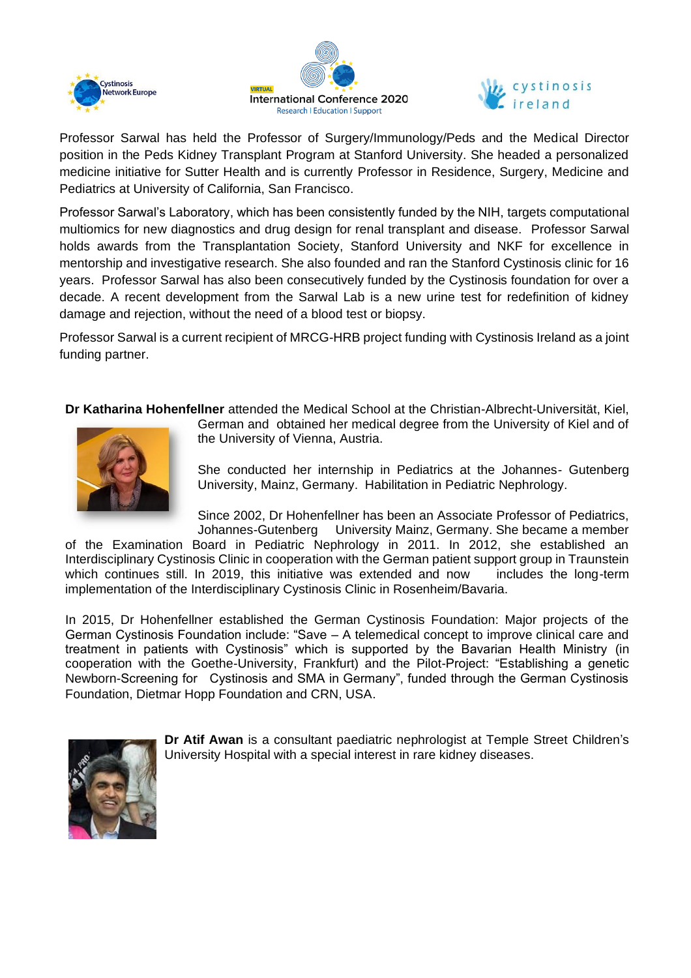





Professor Sarwal has held the Professor of Surgery/Immunology/Peds and the Medical Director position in the Peds Kidney Transplant Program at Stanford University. She headed a personalized medicine initiative for Sutter Health and is currently Professor in Residence, Surgery, Medicine and Pediatrics at University of California, San Francisco.

Professor Sarwal's Laboratory, which has been consistently funded by the NIH, targets computational multiomics for new diagnostics and drug design for renal transplant and disease. Professor Sarwal holds awards from the Transplantation Society, Stanford University and NKF for excellence in mentorship and investigative research. She also founded and ran the Stanford Cystinosis clinic for 16 years. Professor Sarwal has also been consecutively funded by the Cystinosis foundation for over a decade. A recent development from the Sarwal Lab is a new urine test for redefinition of kidney damage and rejection, without the need of a blood test or biopsy.

Professor Sarwal is a current recipient of MRCG-HRB project funding with Cystinosis Ireland as a joint funding partner.

**Dr Katharina Hohenfellner** attended the Medical School at the Christian-Albrecht-Universität, Kiel,



German and obtained her medical degree from the University of Kiel and of the University of Vienna, Austria.

She conducted her internship in Pediatrics at the Johannes- Gutenberg University, Mainz, Germany. Habilitation in Pediatric Nephrology.

Since 2002, Dr Hohenfellner has been an Associate Professor of Pediatrics, Johannes-Gutenberg University Mainz, Germany. She became a member

of the Examination Board in Pediatric Nephrology in 2011. In 2012, she established an Interdisciplinary Cystinosis Clinic in cooperation with the German patient support group in Traunstein which continues still. In 2019, this initiative was extended and now includes the long-term implementation of the Interdisciplinary Cystinosis Clinic in Rosenheim/Bavaria.

In 2015, Dr Hohenfellner established the German Cystinosis Foundation: Major projects of the German Cystinosis Foundation include: "Save – A telemedical concept to improve clinical care and treatment in patients with Cystinosis" which is supported by the Bavarian Health Ministry (in cooperation with the Goethe-University, Frankfurt) and the Pilot-Project: "Establishing a genetic Newborn-Screening for Cystinosis and SMA in Germany", funded through the German Cystinosis Foundation, Dietmar Hopp Foundation and CRN, USA.



**Dr Atif Awan** is a consultant paediatric nephrologist at Temple Street Children's University Hospital with a special interest in rare kidney diseases.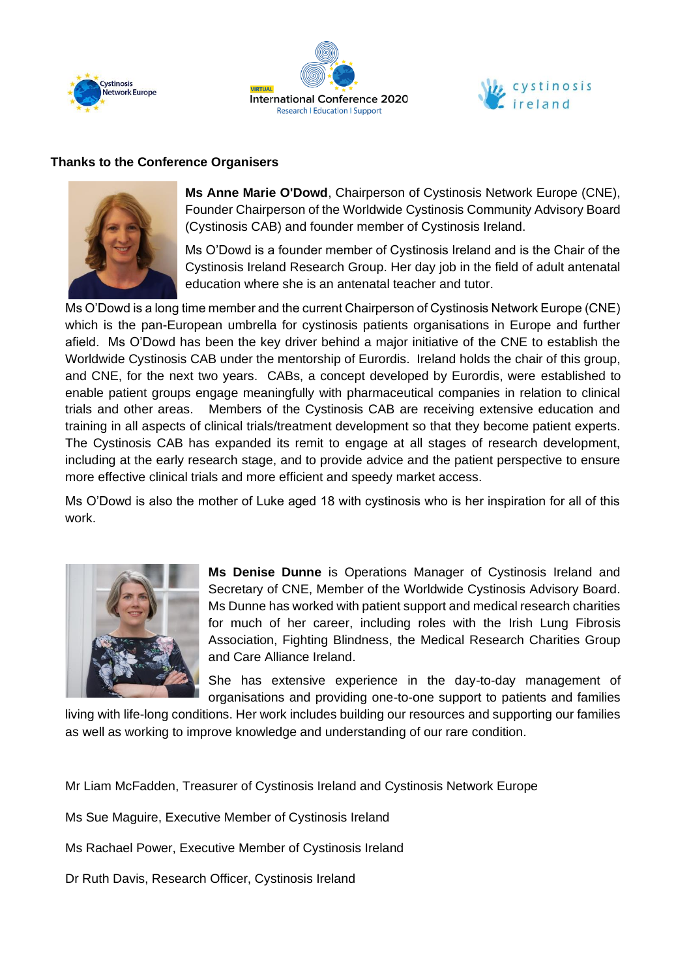





## **Thanks to the Conference Organisers**



**Ms Anne Marie O'Dowd**, Chairperson of Cystinosis Network Europe (CNE), Founder Chairperson of the Worldwide Cystinosis Community Advisory Board (Cystinosis CAB) and founder member of Cystinosis Ireland.

Ms O'Dowd is a founder member of Cystinosis Ireland and is the Chair of the Cystinosis Ireland Research Group. Her day job in the field of adult antenatal education where she is an antenatal teacher and tutor.

Ms O'Dowd is a long time member and the current Chairperson of Cystinosis Network Europe (CNE) which is the pan-European umbrella for cystinosis patients organisations in Europe and further afield. Ms O'Dowd has been the key driver behind a major initiative of the CNE to establish the Worldwide Cystinosis CAB under the mentorship of Eurordis. Ireland holds the chair of this group, and CNE, for the next two years. CABs, a concept developed by Eurordis, were established to enable patient groups engage meaningfully with pharmaceutical companies in relation to clinical trials and other areas. Members of the Cystinosis CAB are receiving extensive education and training in all aspects of clinical trials/treatment development so that they become patient experts. The Cystinosis CAB has expanded its remit to engage at all stages of research development, including at the early research stage, and to provide advice and the patient perspective to ensure more effective clinical trials and more efficient and speedy market access.

Ms O'Dowd is also the mother of Luke aged 18 with cystinosis who is her inspiration for all of this work.



**Ms Denise Dunne** is Operations Manager of Cystinosis Ireland and Secretary of CNE, Member of the Worldwide Cystinosis Advisory Board. Ms Dunne has worked with patient support and medical research charities for much of her career, including roles with the Irish Lung Fibrosis Association, Fighting Blindness, the Medical Research Charities Group and Care Alliance Ireland.

She has extensive experience in the day-to-day management of organisations and providing one-to-one support to patients and families

living with life-long conditions. Her work includes building our resources and supporting our families as well as working to improve knowledge and understanding of our rare condition.

Mr Liam McFadden, Treasurer of Cystinosis Ireland and Cystinosis Network Europe

Ms Sue Maguire, Executive Member of Cystinosis Ireland

Ms Rachael Power, Executive Member of Cystinosis Ireland

Dr Ruth Davis, Research Officer, Cystinosis Ireland